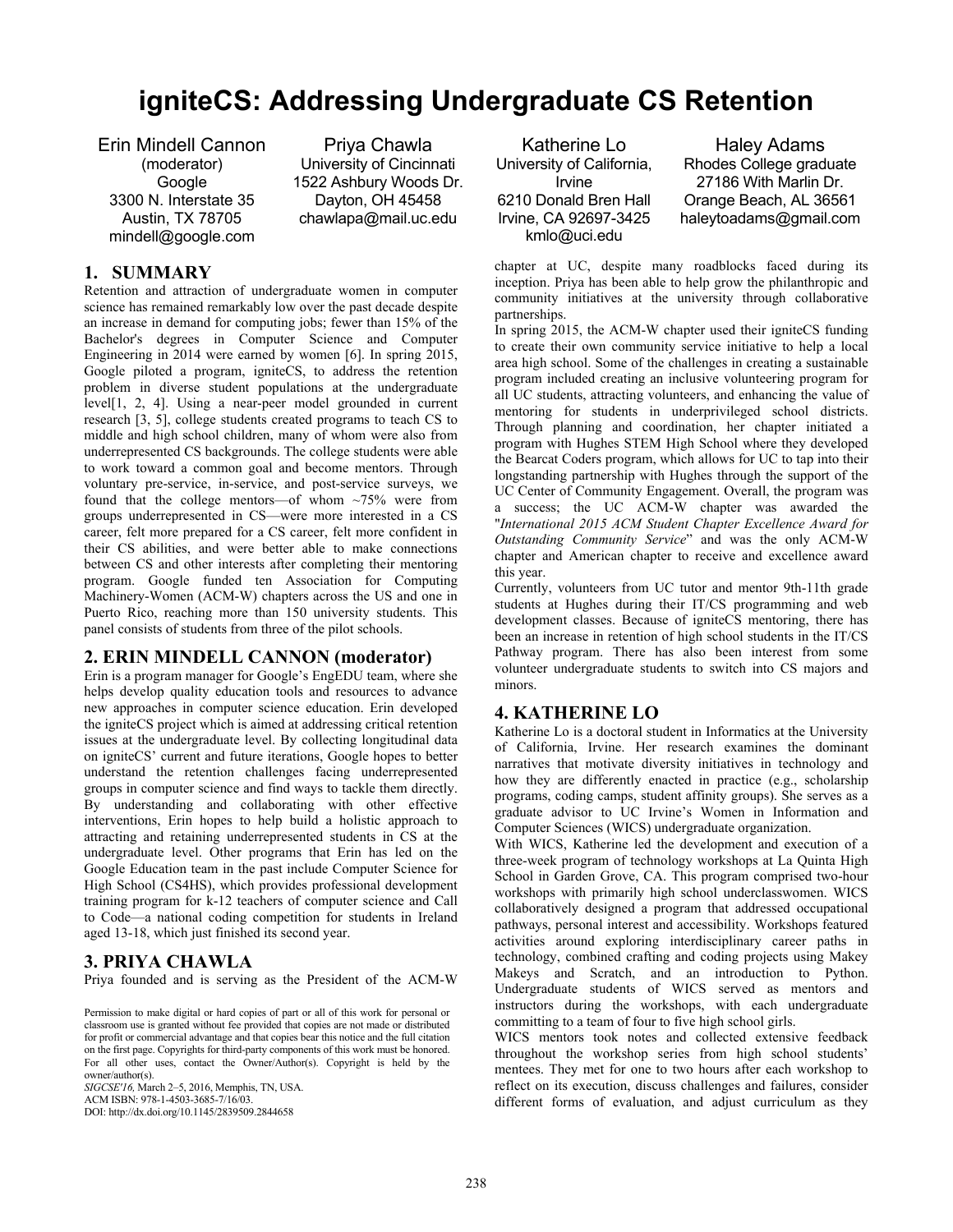# **igniteCS: Addressing Undergraduate CS Retention**

Erin Mindell Cannon (moderator) **Google** 3300 N. Interstate 35 Austin, TX 78705 mindell@google.com

Priya Chawla University of Cincinnati 1522 Ashbury Woods Dr. Dayton, OH 45458 chawlapa@mail.uc.edu

## **1. SUMMARY**

Retention and attraction of undergraduate women in computer science has remained remarkably low over the past decade despite an increase in demand for computing jobs; fewer than 15% of the Bachelor's degrees in Computer Science and Computer Engineering in 2014 were earned by women [6]. In spring 2015, Google piloted a program, igniteCS, to address the retention problem in diverse student populations at the undergraduate level[1, 2, 4]. Using a near-peer model grounded in current research [3, 5], college students created programs to teach CS to middle and high school children, many of whom were also from underrepresented CS backgrounds. The college students were able to work toward a common goal and become mentors. Through voluntary pre-service, in-service, and post-service surveys, we found that the college mentors—of whom  $\sim$ 75% were from groups underrepresented in CS—were more interested in a CS career, felt more prepared for a CS career, felt more confident in their CS abilities, and were better able to make connections between CS and other interests after completing their mentoring program. Google funded ten Association for Computing Machinery-Women (ACM-W) chapters across the US and one in Puerto Rico, reaching more than 150 university students. This panel consists of students from three of the pilot schools.

## **2. ERIN MINDELL CANNON (moderator)**

Erin is a program manager for Google's EngEDU team, where she helps develop quality education tools and resources to advance new approaches in computer science education. Erin developed the igniteCS project which is aimed at addressing critical retention issues at the undergraduate level. By collecting longitudinal data on igniteCS' current and future iterations, Google hopes to better understand the retention challenges facing underrepresented groups in computer science and find ways to tackle them directly. By understanding and collaborating with other effective interventions, Erin hopes to help build a holistic approach to attracting and retaining underrepresented students in CS at the undergraduate level. Other programs that Erin has led on the Google Education team in the past include Computer Science for High School (CS4HS), which provides professional development training program for k-12 teachers of computer science and Call to Code—a national coding competition for students in Ireland aged 13-18, which just finished its second year.

#### **3. PRIYA CHAWLA**

Priya founded and is serving as the President of the ACM-W

Permission to make digital or hard copies of part or all of this work for personal or classroom use is granted without fee provided that copies are not made or distributed for profit or commercial advantage and that copies bear this notice and the full citation on the first page. Copyrights for third-party components of this work must be honored. For all other uses, contact the Owner/Author(s). Copyright is held by the owner/author(s).

*SIGCSE'16,* March 2–5, 2016, Memphis, TN, USA. ACM ISBN: 978-1-4503-3685-7/16/03. DOI: http://dx.doi.org/10.1145/2839509.2844658

Katherine Lo University of California, Irvine 6210 Donald Bren Hall Irvine, CA 92697-3425 kmlo@uci.edu

Haley Adams Rhodes College graduate 27186 With Marlin Dr. Orange Beach, AL 36561 haleytoadams@gmail.com

chapter at UC, despite many roadblocks faced during its inception. Priya has been able to help grow the philanthropic and community initiatives at the university through collaborative partnerships.

In spring 2015, the ACM-W chapter used their igniteCS funding to create their own community service initiative to help a local area high school. Some of the challenges in creating a sustainable program included creating an inclusive volunteering program for all UC students, attracting volunteers, and enhancing the value of mentoring for students in underprivileged school districts. Through planning and coordination, her chapter initiated a program with Hughes STEM High School where they developed the Bearcat Coders program, which allows for UC to tap into their longstanding partnership with Hughes through the support of the UC Center of Community Engagement. Overall, the program was a success; the UC ACM-W chapter was awarded the "*International 2015 ACM Student Chapter Excellence Award for Outstanding Community Service*" and was the only ACM-W chapter and American chapter to receive and excellence award this year.

Currently, volunteers from UC tutor and mentor 9th-11th grade students at Hughes during their IT/CS programming and web development classes. Because of igniteCS mentoring, there has been an increase in retention of high school students in the IT/CS Pathway program. There has also been interest from some volunteer undergraduate students to switch into CS majors and minors.

## **4. KATHERINE LO**

Katherine Lo is a doctoral student in Informatics at the University of California, Irvine. Her research examines the dominant narratives that motivate diversity initiatives in technology and how they are differently enacted in practice (e.g., scholarship programs, coding camps, student affinity groups). She serves as a graduate advisor to UC Irvine's Women in Information and Computer Sciences (WICS) undergraduate organization.

With WICS, Katherine led the development and execution of a three-week program of technology workshops at La Quinta High School in Garden Grove, CA. This program comprised two-hour workshops with primarily high school underclasswomen. WICS collaboratively designed a program that addressed occupational pathways, personal interest and accessibility. Workshops featured activities around exploring interdisciplinary career paths in technology, combined crafting and coding projects using Makey Makeys and Scratch, and an introduction to Python. Undergraduate students of WICS served as mentors and instructors during the workshops, with each undergraduate committing to a team of four to five high school girls.

WICS mentors took notes and collected extensive feedback throughout the workshop series from high school students' mentees. They met for one to two hours after each workshop to reflect on its execution, discuss challenges and failures, consider different forms of evaluation, and adjust curriculum as they